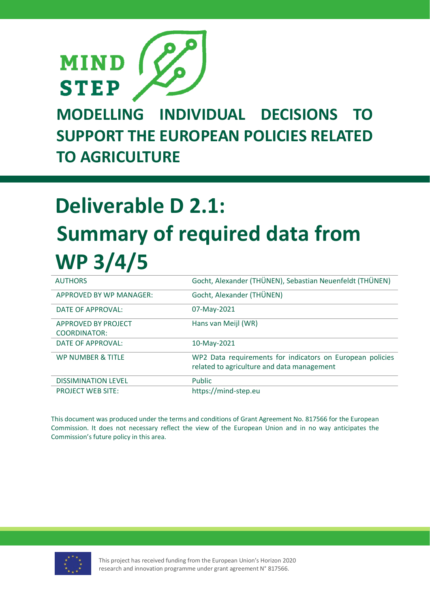

**MODELLING INDIVIDUAL DECISIONS TO SUPPORT THE EUROPEAN POLICIES RELATED TO AGRICULTURE**

# **Deliverable D 2.1: Summary of required data from WP 3/4/5 required by partners WP 2-6**

| <b>AUTHORS</b>               | Gocht, Alexander (THÜNEN), Sebastian Neuenfeldt (THÜNEN)  |
|------------------------------|-----------------------------------------------------------|
| APPROVED BY WP MANAGER:      | Gocht, Alexander (THÜNEN)                                 |
| <b>DATE OF APPROVAL:</b>     | 07-May-2021                                               |
| APPROVED BY PROJECT          | Hans van Meijl (WR)                                       |
| <b>COORDINATOR:</b>          |                                                           |
| DATE OF APPROVAL:            | 10-May-2021                                               |
| <b>WP NUMBER &amp; TITLE</b> | WP2 Data requirements for indicators on European policies |
|                              | related to agriculture and data management                |
| <b>DISSIMINATION LEVEL</b>   | Public                                                    |
| <b>PROJECT WEB SITE:</b>     | https://mind-step.eu                                      |

This document was produced under the terms and conditions of Grant Agreement No. 817566 for the European Commission. It does not necessary reflect the view of the European Union and in no way anticipates the Commission's future policy in this area.



This project has received funding from the European Union's Horizon 2020 research and innovation programme under grant agreement N° 817566.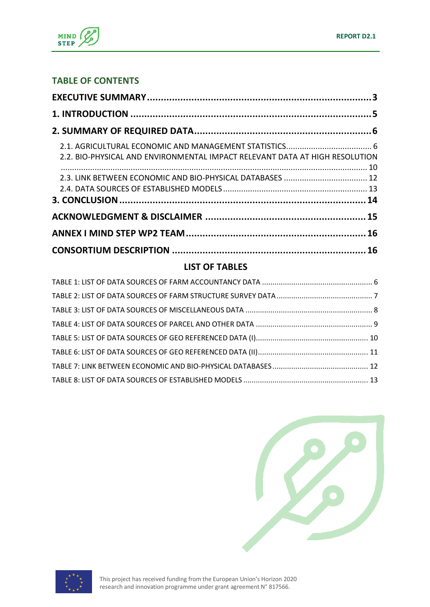

## **TABLE OF CONTENTS**

| 2.2. BIO-PHYSICAL AND ENVIRONMENTAL IMPACT RELEVANT DATA AT HIGH RESOLUTION |  |
|-----------------------------------------------------------------------------|--|
|                                                                             |  |
|                                                                             |  |
|                                                                             |  |
|                                                                             |  |

## **LIST OF TABLES**



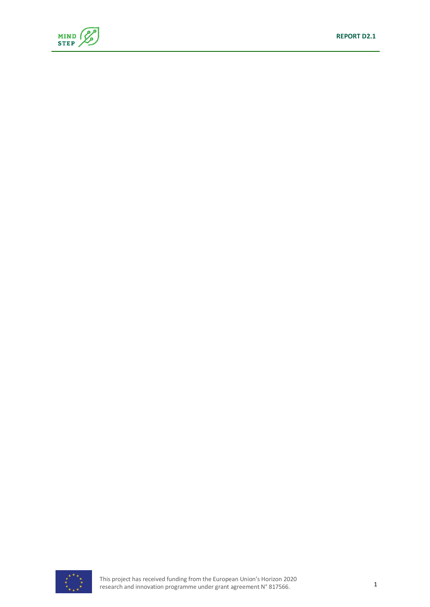





This project has received funding from the European Union's Horizon 2020 research and innovation programme under grant agreement N° 817566.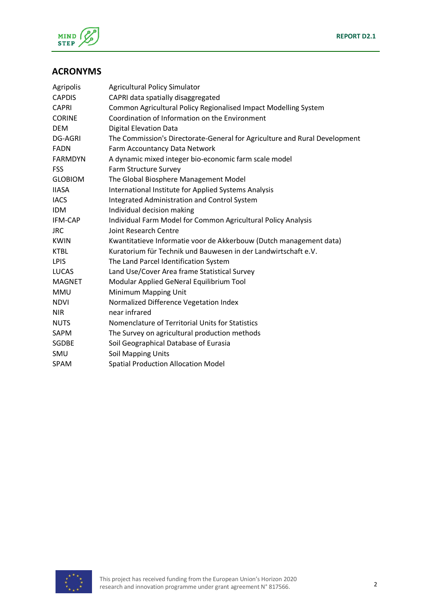

## **ACRONYMS**

| Agripolis      | <b>Agricultural Policy Simulator</b>                                       |
|----------------|----------------------------------------------------------------------------|
| <b>CAPDIS</b>  | CAPRI data spatially disaggregated                                         |
| <b>CAPRI</b>   | Common Agricultural Policy Regionalised Impact Modelling System            |
| <b>CORINE</b>  | Coordination of Information on the Environment                             |
| <b>DEM</b>     | <b>Digital Elevation Data</b>                                              |
| <b>DG-AGRI</b> | The Commission's Directorate-General for Agriculture and Rural Development |
| <b>FADN</b>    | Farm Accountancy Data Network                                              |
| <b>FARMDYN</b> | A dynamic mixed integer bio-economic farm scale model                      |
| <b>FSS</b>     | Farm Structure Survey                                                      |
| <b>GLOBIOM</b> | The Global Biosphere Management Model                                      |
| <b>IIASA</b>   | International Institute for Applied Systems Analysis                       |
| <b>IACS</b>    | <b>Integrated Administration and Control System</b>                        |
| <b>IDM</b>     | Individual decision making                                                 |
| IFM-CAP        | Individual Farm Model for Common Agricultural Policy Analysis              |
| <b>JRC</b>     | <b>Joint Research Centre</b>                                               |
| <b>KWIN</b>    | Kwantitatieve Informatie voor de Akkerbouw (Dutch management data)         |
| <b>KTBL</b>    | Kuratorium für Technik und Bauwesen in der Landwirtschaft e.V.             |
| <b>LPIS</b>    | The Land Parcel Identification System                                      |
| <b>LUCAS</b>   | Land Use/Cover Area frame Statistical Survey                               |
| <b>MAGNET</b>  | Modular Applied GeNeral Equilibrium Tool                                   |
| <b>MMU</b>     | Minimum Mapping Unit                                                       |
| <b>NDVI</b>    | Normalized Difference Vegetation Index                                     |
| <b>NIR</b>     | near infrared                                                              |
| <b>NUTS</b>    | Nomenclature of Territorial Units for Statistics                           |
| <b>SAPM</b>    | The Survey on agricultural production methods                              |
| <b>SGDBE</b>   | Soil Geographical Database of Eurasia                                      |
| SMU            | <b>Soil Mapping Units</b>                                                  |
| <b>SPAM</b>    | <b>Spatial Production Allocation Model</b>                                 |

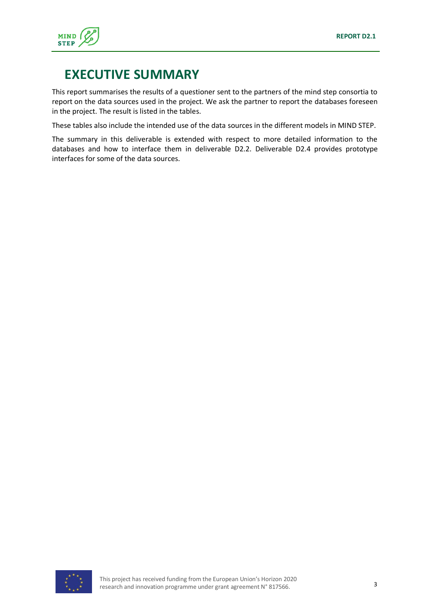

# <span id="page-4-0"></span>**EXECUTIVE SUMMARY**

This report summarises the results of a questioner sent to the partners of the mind step consortia to report on the data sources used in the project. We ask the partner to report the databases foreseen in the project. The result is listed in the tables.

These tables also include the intended use of the data sources in the different models in MIND STEP.

The summary in this deliverable is extended with respect to more detailed information to the databases and how to interface them in deliverable D2.2. Deliverable D2.4 provides prototype interfaces for some of the data sources.

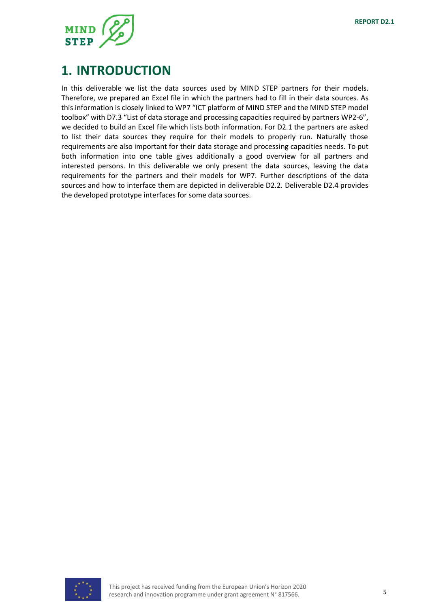

# <span id="page-6-0"></span>**1. INTRODUCTION**

In this deliverable we list the data sources used by MIND STEP partners for their models. Therefore, we prepared an Excel file in which the partners had to fill in their data sources. As this information is closely linked to WP7 "ICT platform of MIND STEP and the MIND STEP model toolbox" with D7.3 "List of data storage and processing capacities required by partners WP2-6", we decided to build an Excel file which lists both information. For D2.1 the partners are asked to list their data sources they require for their models to properly run. Naturally those requirements are also important for their data storage and processing capacities needs. To put both information into one table gives additionally a good overview for all partners and interested persons. In this deliverable we only present the data sources, leaving the data requirements for the partners and their models for WP7. Further descriptions of the data sources and how to interface them are depicted in deliverable D2.2. Deliverable D2.4 provides the developed prototype interfaces for some data sources.

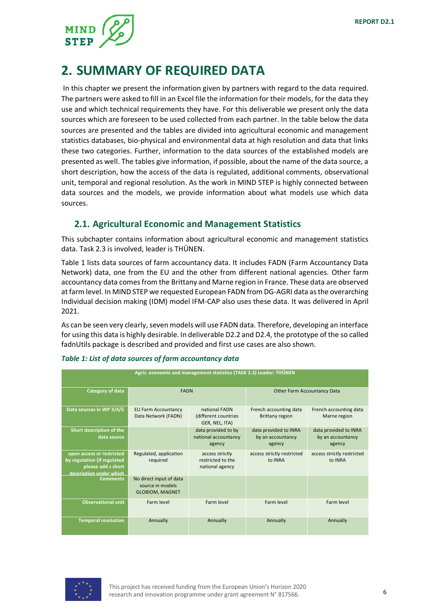

# <span id="page-7-0"></span>**2. SUMMARY OF REQUIRED DATA**

In this chapter we present the information given by partners with regard to the data required. The partners were asked to fill in an Excel file the information for their models, for the data they use and which technical requirements they have. For this deliverable we present only the data sources which are foreseen to be used collected from each partner. In the table below the data sources are presented and the tables are divided into agricultural economic and management statistics databases, bio-physical and environmental data at high resolution and data that links these two categories. Further, information to the data sources of the established models are presented as well. The tables give information, if possible, about the name of the data source, a short description, how the access of the data is regulated, additional comments, observational unit, temporal and regional resolution. As the work in MIND STEP is highly connected between data sources and the models, we provide information about what models use which data sources.

## <span id="page-7-1"></span>**2.1. Agricultural Economic and Management Statistics**

This subchapter contains information about agricultural economic and management statistics data. Task 2.3 is involved, leader is THÜNEN.

[Table 1](#page-7-2) lists data sources of farm accountancy data. It includes FADN (Farm Accountancy Data Network) data, one from the EU and the other from different national agencies. Other farm accountancy data comes from the Brittany and Marne region in France. These data are observed at farm level. In MIND STEP we requested European FADN from DG-AGRI data as the overarching Individual decision making (IDM) model IFM-CAP also uses these data. It was delivered in April 2021.

As can be seen very clearly, seven models will use FADN data. Therefore, developing an interface for using this data is highly desirable. In deliverable D2.2 and D2.4, the prototype of the so called fadnUtils package is described and provided and first use cases are also shown.

| Agric. economic and management statistics (TASK 2.3) Leader: THÜNEN                                       |                                                                       |                                                         |                                                      |                                                      |  |
|-----------------------------------------------------------------------------------------------------------|-----------------------------------------------------------------------|---------------------------------------------------------|------------------------------------------------------|------------------------------------------------------|--|
| Category of data                                                                                          | <b>FADN</b>                                                           |                                                         | Other Farm Accountancy Data                          |                                                      |  |
| Data sources in WP 3/4/5                                                                                  | <b>EU Farm Accountancy</b><br>Data Network (FADN)                     | national FADN<br>(different countries<br>GER, NEL, ITA) | French accounting data<br><b>Brittany region</b>     | French accounting data<br>Marne region               |  |
| Short description of the<br>data source                                                                   |                                                                       | data provided to by<br>national accountancy<br>agency   | data provided to INRA<br>by an accountancy<br>agency | data provided to INRA<br>by an accountancy<br>agency |  |
| open access or restricted<br>by regulation (if regulated<br>please add s short<br>description under which | Regulated, application<br>required                                    | access strictly<br>restricted to the<br>national agency | access strictly restricted<br>to INRA                | access strictly restricted<br>to INRA                |  |
| <b>Comments</b>                                                                                           | No direct input of data<br>source in models<br><b>GLOBIOM, MAGNET</b> |                                                         |                                                      |                                                      |  |
| <b>Observational unit</b>                                                                                 | Farm level                                                            | Farm level                                              | Farm level                                           | Farm level                                           |  |
| <b>Temporal resolution</b>                                                                                | Annually                                                              | Annually                                                | Annually                                             | Annually                                             |  |

#### <span id="page-7-2"></span>*Table 1: List of data sources of farm accountancy data*

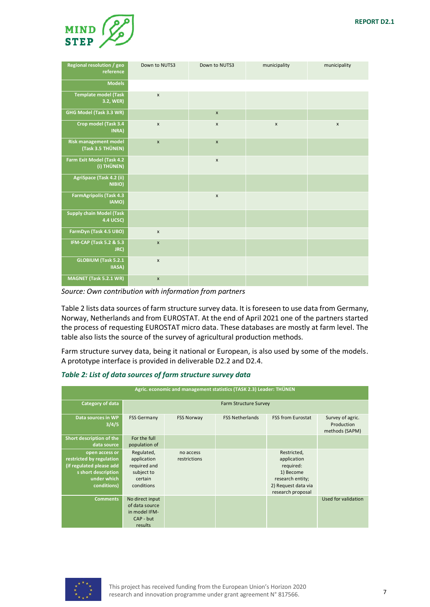

| Regional resolution / geo<br>reference         | Down to NUTS3      | Down to NUTS3      | municipality              | municipality   |
|------------------------------------------------|--------------------|--------------------|---------------------------|----------------|
| <b>Models</b>                                  |                    |                    |                           |                |
| <b>Template model (Task</b><br>3.2, WER)       | $\pmb{\times}$     |                    |                           |                |
| GHG Model (Task 3.3 WR)                        |                    | $\pmb{\mathsf{x}}$ |                           |                |
| Crop model (Task 3.4<br>INRA)                  | $\pmb{\times}$     | $\pmb{\mathsf{x}}$ | $\boldsymbol{\mathsf{x}}$ | $\pmb{\times}$ |
| Risk management model<br>(Task 3.5 THÜNEN)     | $\pmb{\times}$     | $\pmb{\chi}$       |                           |                |
| Farm Exit Model (Task 4.2<br>(i) THÜNEN)       |                    | $\pmb{\times}$     |                           |                |
| AgriSpace (Task 4.2 (ii)<br>NIBIO)             |                    |                    |                           |                |
| <b>FarmAgripolis (Task 4.3</b><br>IAMO)        |                    | $\pmb{\chi}$       |                           |                |
| <b>Supply chain Model (Task</b><br>$4.4$ UCSC) |                    |                    |                           |                |
| FarmDyn (Task 4.5 UBO)                         | $\pmb{\chi}$       |                    |                           |                |
| <b>IFM-CAP (Task 5.2 &amp; 5.3</b><br>JRC)     | $\pmb{\times}$     |                    |                           |                |
| <b>GLOBIUM (Task 5.2.1</b><br>IIASA)           | $\pmb{\times}$     |                    |                           |                |
| MAGNET (Task 5.2.1 WR)                         | $\pmb{\mathsf{x}}$ |                    |                           |                |

*Source: Own contribution with information from partners*

[Table 2](#page-8-0) lists data sources of farm structure survey data. It is foreseen to use data from Germany, Norway, Netherlands and from EUROSTAT. At the end of April 2021 one of the partners started the process of requesting EUROSTAT micro data. These databases are mostly at farm level. The table also lists the source of the survey of agricultural production methods.

Farm structure survey data, being it national or European, is also used by some of the models. A prototype interface is provided in deliverable D2.2 and D2.4.

| Agric. economic and management statistics (TASK 2.3) Leader: THÜNEN                                                         |                                                                                  |                           |                        |                                                                                                                      |                                                  |
|-----------------------------------------------------------------------------------------------------------------------------|----------------------------------------------------------------------------------|---------------------------|------------------------|----------------------------------------------------------------------------------------------------------------------|--------------------------------------------------|
| Category of data                                                                                                            | <b>Farm Structure Survey</b>                                                     |                           |                        |                                                                                                                      |                                                  |
| Data sources in WP<br>3/4/5                                                                                                 | <b>FSS Germany</b>                                                               | <b>FSS Norway</b>         | <b>FSS Netherlands</b> | <b>FSS from Eurostat</b>                                                                                             | Survey of agric.<br>Production<br>methods (SAPM) |
| Short description of the<br>data source                                                                                     | For the full<br>population of                                                    |                           |                        |                                                                                                                      |                                                  |
| open access or<br>restricted by regulation<br>(if regulated please add<br>s short description<br>under which<br>conditions) | Regulated,<br>application<br>required and<br>subject to<br>certain<br>conditions | no access<br>restrictions |                        | Restricted,<br>application<br>required:<br>1) Become<br>research entity;<br>2) Request data via<br>research proposal |                                                  |
| <b>Comments</b>                                                                                                             | No direct input<br>of data source<br>in model IFM-<br>CAP - but<br>results       |                           |                        |                                                                                                                      | Used for validation                              |

#### <span id="page-8-0"></span>*Table 2: List of data sources of farm structure survey data*

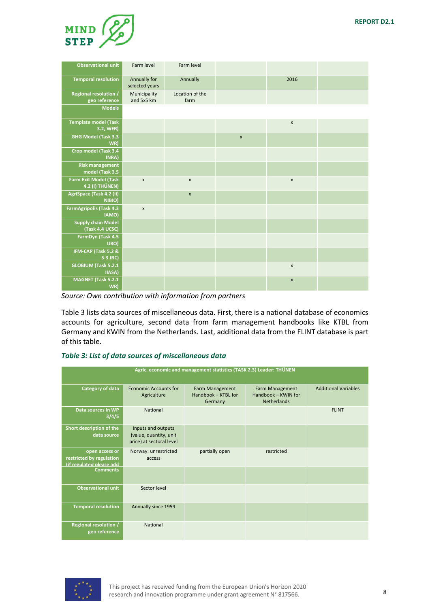

| <b>Observational unit</b>                | Farm level                     | Farm level         |                           |                |  |
|------------------------------------------|--------------------------------|--------------------|---------------------------|----------------|--|
| <b>Temporal resolution</b>               | Annually for<br>selected years | Annually           |                           | 2016           |  |
| <b>Regional resolution /</b>             | Municipality                   | Location of the    |                           |                |  |
| geo reference                            | and 5x5 km                     | farm               |                           |                |  |
| <b>Models</b>                            |                                |                    |                           |                |  |
| <b>Template model (Task</b>              |                                |                    |                           | $\pmb{\times}$ |  |
| 3.2, WER)                                |                                |                    |                           |                |  |
| <b>GHG Model (Task 3.3</b>               |                                |                    | $\boldsymbol{\mathsf{x}}$ |                |  |
| WR)                                      |                                |                    |                           |                |  |
| Crop model (Task 3.4                     |                                |                    |                           |                |  |
| INRA)                                    |                                |                    |                           |                |  |
| <b>Risk management</b>                   |                                |                    |                           |                |  |
| model (Task 3.5                          |                                |                    |                           |                |  |
| Farm Exit Model (Task<br>4.2 (i) THÜNEN) | $\pmb{\times}$                 | $\pmb{\times}$     |                           | $\pmb{\times}$ |  |
| AgriSpace (Task 4.2 (ii)                 |                                | $\pmb{\mathsf{x}}$ |                           |                |  |
| NIBIO)                                   |                                |                    |                           |                |  |
| <b>FarmAgripolis (Task 4.3</b>           | $\pmb{\times}$                 |                    |                           |                |  |
| <b>IAMO)</b>                             |                                |                    |                           |                |  |
| <b>Supply chain Model</b>                |                                |                    |                           |                |  |
| (Task 4.4 UCSC)                          |                                |                    |                           |                |  |
| FarmDyn (Task 4.5                        |                                |                    |                           |                |  |
| UBO)                                     |                                |                    |                           |                |  |
| IFM-CAP (Task 5.2 &                      |                                |                    |                           |                |  |
| 5.3 JRC)                                 |                                |                    |                           |                |  |
| <b>GLOBIUM (Task 5.2.1</b><br>IIASA)     |                                |                    |                           | $\mathsf{x}$   |  |
| <b>MAGNET (Task 5.2.1)</b>               |                                |                    |                           | $\pmb{\times}$ |  |
| WR)                                      |                                |                    |                           |                |  |

*Source: Own contribution with information from partners*

[Table 3](#page-9-0) lists data sources of miscellaneous data. First, there is a national database of economics accounts for agriculture, second data from farm management handbooks like KTBL from Germany and KWIN from the Netherlands. Last, additional data from the FLINT database is part of this table.

#### <span id="page-9-0"></span>*Table 3: List of data sources of miscellaneous data*

| Agric. economic and management statistics (TASK 2.3) Leader: THÜNEN |                          |                     |                     |                             |
|---------------------------------------------------------------------|--------------------------|---------------------|---------------------|-----------------------------|
|                                                                     |                          |                     |                     |                             |
|                                                                     |                          |                     |                     |                             |
| Category of data                                                    | Economic Accounts for    | Farm Management     | Farm Management     | <b>Additional Variables</b> |
|                                                                     | Agriculture              | Handbook - KTBL for | Handbook - KWIN for |                             |
|                                                                     |                          | Germany             | <b>Netherlands</b>  |                             |
| Data sources in WP                                                  | National                 |                     |                     | <b>FLINT</b>                |
| 3/4/5                                                               |                          |                     |                     |                             |
| Short description of the                                            | Inputs and outputs       |                     |                     |                             |
| data source                                                         | (value, quantity, unit   |                     |                     |                             |
|                                                                     | price) at sectoral level |                     |                     |                             |
|                                                                     | Norway: unrestricted     | partially open      | restricted          |                             |
| open access or<br>restricted by regulation                          | access                   |                     |                     |                             |
| hhe azeala hatelupas iil                                            |                          |                     |                     |                             |
| <b>Comments</b>                                                     |                          |                     |                     |                             |
|                                                                     |                          |                     |                     |                             |
| <b>Observational unit</b>                                           | Sector level             |                     |                     |                             |
|                                                                     |                          |                     |                     |                             |
|                                                                     |                          |                     |                     |                             |
| <b>Temporal resolution</b>                                          | Annually since 1959      |                     |                     |                             |
|                                                                     |                          |                     |                     |                             |
| <b>Regional resolution /</b>                                        | National                 |                     |                     |                             |
| geo reference                                                       |                          |                     |                     |                             |
|                                                                     |                          |                     |                     |                             |

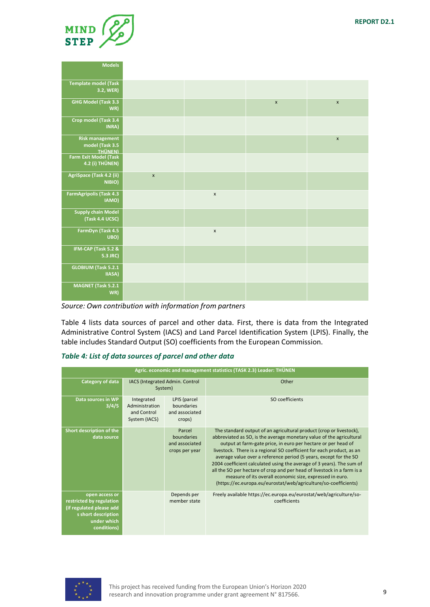

| <b>Models</b>                                               |                           |                |                |                           |
|-------------------------------------------------------------|---------------------------|----------------|----------------|---------------------------|
| <b>Template model (Task</b><br>3.2, WER)                    |                           |                |                |                           |
| <b>GHG Model (Task 3.3</b><br>WR)                           |                           |                | $\pmb{\times}$ | $\pmb{\times}$            |
| Crop model (Task 3.4<br>INRA)                               |                           |                |                |                           |
| <b>Risk management</b><br>model (Task 3.5<br><b>THÜNFN)</b> |                           |                |                | $\boldsymbol{\mathsf{x}}$ |
| Farm Exit Model (Task<br>4.2 (i) THÜNEN)                    |                           |                |                |                           |
| AgriSpace (Task 4.2 (ii)<br>NIBIO)                          | $\boldsymbol{\mathsf{x}}$ |                |                |                           |
| <b>FarmAgripolis (Task 4.3</b><br>IAMO)                     |                           | $\pmb{\chi}$   |                |                           |
| <b>Supply chain Model</b><br>(Task 4.4 UCSC)                |                           |                |                |                           |
| FarmDyn (Task 4.5<br>UBO)                                   |                           | $\pmb{\times}$ |                |                           |
| IFM-CAP (Task 5.2 &<br>$5.3$ JRC)                           |                           |                |                |                           |
| <b>GLOBIUM (Task 5.2.1</b><br>IIASA)                        |                           |                |                |                           |
| MAGNET (Task 5.2.1<br>WR)                                   |                           |                |                |                           |

*Source: Own contribution with information from partners*

[Table 4](#page-10-0) lists data sources of parcel and other data. First, there is data from the Integrated Administrative Control System (IACS) and Land Parcel Identification System (LPIS). Finally, the table includes Standard Output (SO) coefficients from the European Commission.

#### <span id="page-10-0"></span>*Table 4: List of data sources of parcel and other data*

| Agric. economic and management statistics (TASK 2.3) Leader: THÜNEN                                                         |                                                              |                                                          |                                                                                                                                                                                                                                                                                                                                                                                                                                                                                                                                                                                                                                               |  |
|-----------------------------------------------------------------------------------------------------------------------------|--------------------------------------------------------------|----------------------------------------------------------|-----------------------------------------------------------------------------------------------------------------------------------------------------------------------------------------------------------------------------------------------------------------------------------------------------------------------------------------------------------------------------------------------------------------------------------------------------------------------------------------------------------------------------------------------------------------------------------------------------------------------------------------------|--|
| Category of data                                                                                                            | IACS (Integrated Admin. Control<br>System)                   |                                                          | Other                                                                                                                                                                                                                                                                                                                                                                                                                                                                                                                                                                                                                                         |  |
| Data sources in WP<br>3/4/5                                                                                                 | Integrated<br>Administration<br>and Control<br>System (IACS) | LPIS (parcel<br>boundaries<br>and associated<br>crops)   | SO coefficients                                                                                                                                                                                                                                                                                                                                                                                                                                                                                                                                                                                                                               |  |
| <b>Short description of the</b><br>data source                                                                              |                                                              | Parcel<br>boundaries<br>and associated<br>crops per year | The standard output of an agricultural product (crop or livestock),<br>abbreviated as SO, is the average monetary value of the agricultural<br>output at farm-gate price, in euro per hectare or per head of<br>livestock. There is a regional SO coefficient for each product, as an<br>average value over a reference period (5 years, except for the SO<br>2004 coefficient calculated using the average of 3 years). The sum of<br>all the SO per hectare of crop and per head of livestock in a farm is a<br>measure of its overall economic size, expressed in euro.<br>(https://ec.europa.eu/eurostat/web/agriculture/so-coefficients) |  |
| open access or<br>restricted by regulation<br>(if regulated please add<br>s short description<br>under which<br>conditions) |                                                              | Depends per<br>member state                              | Freely available https://ec.europa.eu/eurostat/web/agriculture/so-<br>coefficients                                                                                                                                                                                                                                                                                                                                                                                                                                                                                                                                                            |  |

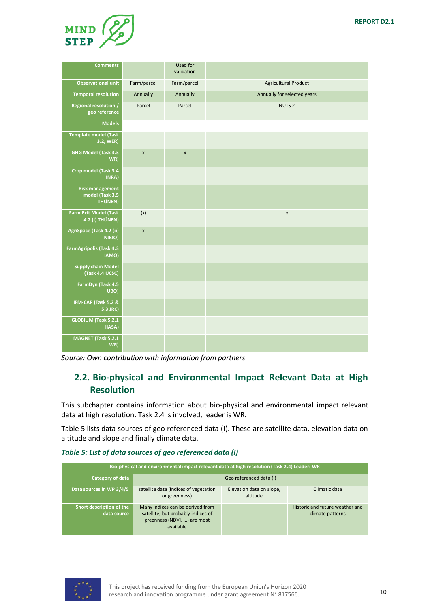

| <b>Comments</b>                                      |                    | Used for<br>validation |                             |
|------------------------------------------------------|--------------------|------------------------|-----------------------------|
| <b>Observational unit</b>                            | Farm/parcel        | Farm/parcel            | <b>Agricultural Product</b> |
| <b>Temporal resolution</b>                           | Annually           | Annually               | Annually for selected years |
| <b>Regional resolution /</b><br>geo reference        | Parcel             | Parcel                 | <b>NUTS2</b>                |
| <b>Models</b>                                        |                    |                        |                             |
| <b>Template model (Task</b><br>3.2, WER)             |                    |                        |                             |
| <b>GHG Model (Task 3.3</b><br>WR)                    | $\pmb{\times}$     | $\pmb{\mathsf{x}}$     |                             |
| Crop model (Task 3.4<br>INRA)                        |                    |                        |                             |
| <b>Risk management</b><br>model (Task 3.5<br>THÜNEN) |                    |                        |                             |
| Farm Exit Model (Task<br>4.2 (i) THÜNEN)             | (x)                |                        | $\boldsymbol{\mathsf{x}}$   |
| AgriSpace (Task 4.2 (ii)<br>NIBIO)                   | $\pmb{\mathsf{x}}$ |                        |                             |
| <b>FarmAgripolis (Task 4.3</b><br>IAMO)              |                    |                        |                             |
| <b>Supply chain Model</b><br>(Task 4.4 UCSC)         |                    |                        |                             |
| FarmDyn (Task 4.5<br>UBO)                            |                    |                        |                             |
| <b>IFM-CAP (Task 5.2 &amp;</b><br>5.3 JRC)           |                    |                        |                             |
| <b>GLOBIUM (Task 5.2.1</b><br>IIASA)                 |                    |                        |                             |
| MAGNET (Task 5.2.1<br>WR)                            |                    |                        |                             |

*Source: Own contribution with information from partners*

## <span id="page-11-0"></span>**2.2. Bio-physical and Environmental Impact Relevant Data at High Resolution**

This subchapter contains information about bio-physical and environmental impact relevant data at high resolution. Task 2.4 is involved, leader is WR.

[Table 5](#page-11-1) lists data sources of geo referenced data (I). These are satellite data, elevation data on altitude and slope and finally climate data.

#### <span id="page-11-1"></span>*Table 5: List of data sources of geo referenced data (I)*

| Bio-physical and environmental impact relevant data at high resolution (Task 2.4) Leader: WR |                                                                                                                    |                                      |                                                     |  |  |
|----------------------------------------------------------------------------------------------|--------------------------------------------------------------------------------------------------------------------|--------------------------------------|-----------------------------------------------------|--|--|
| Category of data                                                                             | Geo referenced data (I)                                                                                            |                                      |                                                     |  |  |
| Data sources in WP 3/4/5                                                                     | satellite data (indices of vegetation<br>or greenness)                                                             | Elevation data on slope,<br>altitude | Climatic data                                       |  |  |
| Short description of the<br>data source                                                      | Many indices can be derived from<br>satellite, but probably indices of<br>greenness (NDVI, ) are most<br>available |                                      | Historic and future weather and<br>climate patterns |  |  |

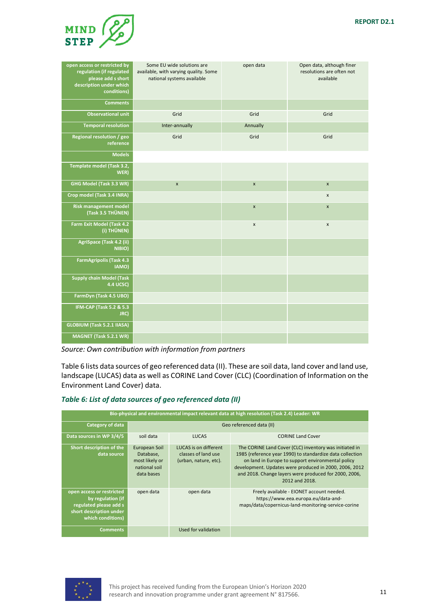

| open access or restricted by<br>regulation (if regulated<br>please add s short<br>description under which<br>conditions) | Some EU wide solutions are<br>available, with varying quality. Some<br>national systems available | open data      | Open data, although finer<br>resolutions are often not<br>available |
|--------------------------------------------------------------------------------------------------------------------------|---------------------------------------------------------------------------------------------------|----------------|---------------------------------------------------------------------|
| <b>Comments</b>                                                                                                          |                                                                                                   |                |                                                                     |
| <b>Observational unit</b>                                                                                                | Grid                                                                                              | Grid           | Grid                                                                |
| <b>Temporal resolution</b>                                                                                               | Inter-annually                                                                                    | Annually       |                                                                     |
| Regional resolution / geo<br>reference                                                                                   | Grid                                                                                              | Grid           | Grid                                                                |
| <b>Models</b>                                                                                                            |                                                                                                   |                |                                                                     |
| Template model (Task 3.2,<br>WER)                                                                                        |                                                                                                   |                |                                                                     |
| GHG Model (Task 3.3 WR)                                                                                                  | $\pmb{\times}$                                                                                    | $\pmb{\times}$ | $\pmb{\times}$                                                      |
| Crop model (Task 3.4 INRA)                                                                                               |                                                                                                   |                | $\pmb{\times}$                                                      |
| <b>Risk management model</b><br>(Task 3.5 THÜNEN)                                                                        |                                                                                                   | $\pmb{\times}$ | $\pmb{\mathsf{x}}$                                                  |
| Farm Exit Model (Task 4.2<br>(i) THÜNEN)                                                                                 |                                                                                                   | $\pmb{\times}$ | $\pmb{\times}$                                                      |
| AgriSpace (Task 4.2 (ii)<br>NIBIO)                                                                                       |                                                                                                   |                |                                                                     |
| <b>FarmAgripolis (Task 4.3</b><br>IAMO)                                                                                  |                                                                                                   |                |                                                                     |
| <b>Supply chain Model (Task</b><br><b>4.4 UCSC)</b>                                                                      |                                                                                                   |                |                                                                     |
| FarmDyn (Task 4.5 UBO)                                                                                                   |                                                                                                   |                |                                                                     |
| <b>IFM-CAP (Task 5.2 &amp; 5.3</b><br>JRC)                                                                               |                                                                                                   |                |                                                                     |
| GLOBIUM (Task 5.2.1 IIASA)                                                                                               |                                                                                                   |                |                                                                     |
| MAGNET (Task 5.2.1 WR)                                                                                                   |                                                                                                   |                |                                                                     |

*Source: Own contribution with information from partners*

[Table 6](#page-12-0) lists data sources of geo referenced data (II). These are soil data, land cover and land use, landscape (LUCAS) data as well as CORINE Land Cover (CLC) (Coordination of Information on the Environment Land Cover) data.

### <span id="page-12-0"></span>*Table 6: List of data sources of geo referenced data (II)*

| Bio-physical and environmental impact relevant data at high resolution (Task 2.4) Leader: WR                             |                                                                             |                                                                       |                                                                                                                                                                                                                                                                                                               |  |  |
|--------------------------------------------------------------------------------------------------------------------------|-----------------------------------------------------------------------------|-----------------------------------------------------------------------|---------------------------------------------------------------------------------------------------------------------------------------------------------------------------------------------------------------------------------------------------------------------------------------------------------------|--|--|
| Category of data                                                                                                         | Geo referenced data (II)                                                    |                                                                       |                                                                                                                                                                                                                                                                                                               |  |  |
| Data sources in WP 3/4/5                                                                                                 | soil data                                                                   | <b>LUCAS</b>                                                          | <b>CORINE Land Cover</b>                                                                                                                                                                                                                                                                                      |  |  |
| Short description of the<br>data source                                                                                  | European Soil<br>Database,<br>most likely or<br>national soil<br>data bases | LUCAS is on different<br>classes of land use<br>(urban, nature, etc). | The CORINE Land Cover (CLC) inventory was initiated in<br>1985 (reference year 1990) to standardize data collection<br>on land in Europe to support environmental policy<br>development. Updates were produced in 2000, 2006, 2012<br>and 2018. Change layers were produced for 2000, 2006,<br>2012 and 2018. |  |  |
| open access or restricted<br>by regulation (if<br>regulated please add s<br>short description under<br>which conditions) | open data                                                                   | open data                                                             | Freely available - EIONET account needed.<br>https://www.eea.europa.eu/data-and-<br>maps/data/copernicus-land-monitoring-service-corine                                                                                                                                                                       |  |  |
| <b>Comments</b>                                                                                                          |                                                                             | Used for validation                                                   |                                                                                                                                                                                                                                                                                                               |  |  |

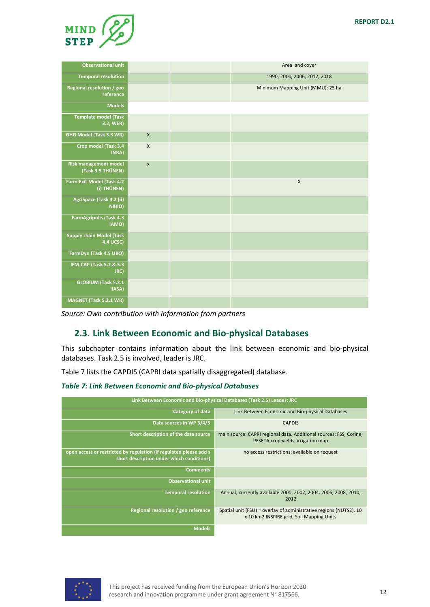

| <b>Observational unit</b>                           |                           | Area land cover                   |
|-----------------------------------------------------|---------------------------|-----------------------------------|
| <b>Temporal resolution</b>                          |                           | 1990, 2000, 2006, 2012, 2018      |
| Regional resolution / geo<br>reference              |                           | Minimum Mapping Unit (MMU): 25 ha |
| <b>Models</b>                                       |                           |                                   |
| Template model (Task<br>3.2, WER)                   |                           |                                   |
| GHG Model (Task 3.3 WR)                             | $\boldsymbol{\mathsf{X}}$ |                                   |
| Crop model (Task 3.4<br>INRA)                       | $\mathsf{X}$              |                                   |
| <b>Risk management model</b><br>(Task 3.5 THÜNEN)   | $\pmb{\chi}$              |                                   |
| Farm Exit Model (Task 4.2<br>(i) THÜNEN)            |                           | $\mathsf{X}$                      |
| AgriSpace (Task 4.2 (ii)<br>NIBIO)                  |                           |                                   |
| <b>FarmAgripolis (Task 4.3</b><br>IAMO)             |                           |                                   |
| <b>Supply chain Model (Task</b><br><b>4.4 UCSC)</b> |                           |                                   |
| FarmDyn (Task 4.5 UBO)                              |                           |                                   |
| <b>IFM-CAP (Task 5.2 &amp; 5.3</b><br>JRC)          |                           |                                   |
| <b>GLOBIUM (Task 5.2.1</b><br>IIASA)                |                           |                                   |
| MAGNET (Task 5.2.1 WR)                              |                           |                                   |

*Source: Own contribution with information from partners*

## <span id="page-13-0"></span>**2.3. Link Between Economic and Bio-physical Databases**

This subchapter contains information about the link between economic and bio-physical databases. Task 2.5 is involved, leader is JRC.

[Table 7](#page-13-1) lists the CAPDIS (CAPRI data spatially disaggregated) database.

#### <span id="page-13-1"></span>*Table 7: Link Between Economic and Bio-physical Databases*

| Link Between Economic and Bio-physical Databases (Task 2.5) Leader: JRC                                         |                                                                                                                 |  |  |  |  |
|-----------------------------------------------------------------------------------------------------------------|-----------------------------------------------------------------------------------------------------------------|--|--|--|--|
| Category of data                                                                                                | Link Between Economic and Bio-physical Databases                                                                |  |  |  |  |
| Data sources in WP 3/4/5                                                                                        | <b>CAPDIS</b>                                                                                                   |  |  |  |  |
| Short description of the data source                                                                            | main source: CAPRI regional data. Additional sources: FSS, Corine,<br>PESETA crop yields, irrigation map        |  |  |  |  |
| open access or restricted by regulation (if regulated please add s<br>short description under which conditions) | no access restrictions; available on request                                                                    |  |  |  |  |
| <b>Comments</b>                                                                                                 |                                                                                                                 |  |  |  |  |
| <b>Observational unit</b>                                                                                       |                                                                                                                 |  |  |  |  |
| <b>Temporal resolution</b>                                                                                      | Annual, currently available 2000, 2002, 2004, 2006, 2008, 2010,<br>2012                                         |  |  |  |  |
| Regional resolution / geo reference                                                                             | Spatial unit (FSU) = overlay of administrative regions (NUTS2), 10<br>x 10 km2 INSPIRE grid, Soil Mapping Units |  |  |  |  |
| <b>Models</b>                                                                                                   |                                                                                                                 |  |  |  |  |

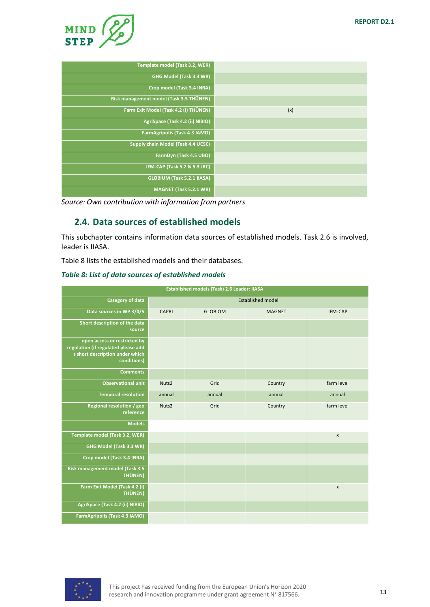

| Template model (Task 3.2, WER)          |     |
|-----------------------------------------|-----|
| <b>GHG Model (Task 3.3 WR)</b>          |     |
| Crop model (Task 3.4 INRA)              |     |
| Risk management model (Task 3.5 THÜNEN) |     |
| Farm Exit Model (Task 4.2 (i) THÜNEN)   | (x) |
| AgriSpace (Task 4.2 (ii) NIBIO)         |     |
| FarmAgripolis (Task 4.3 IAMO)           |     |
| Supply chain Model (Task 4.4 UCSC)      |     |
| FarmDyn (Task 4.5 UBO)                  |     |
| IFM-CAP (Task 5.2 & 5.3 JRC)            |     |
| <b>GLOBIUM (Task 5.2.1 IIASA)</b>       |     |
| MAGNET (Task 5.2.1 WR)                  |     |

*Source: Own contribution with information from partners*

## <span id="page-14-0"></span>**2.4. Data sources of established models**

This subchapter contains information data sources of established models. Task 2.6 is involved, leader is IIASA.

[Table 8](#page-14-1) lists the established models and their databases.

#### <span id="page-14-1"></span>*Table 8: List of data sources of established models*

| Established models (Task) 2.6 Leader: IIASA                                                                           |                          |                |               |                           |
|-----------------------------------------------------------------------------------------------------------------------|--------------------------|----------------|---------------|---------------------------|
| <b>Category of data</b>                                                                                               | <b>Established model</b> |                |               |                           |
| Data sources in WP 3/4/5                                                                                              | <b>CAPRI</b>             | <b>GLOBIOM</b> | <b>MAGNET</b> | IFM-CAP                   |
| Short description of the data<br>source                                                                               |                          |                |               |                           |
| open access or restricted by<br>regulation (if regulated please add<br>s short description under which<br>conditions) |                          |                |               |                           |
| <b>Comments</b>                                                                                                       |                          |                |               |                           |
| <b>Observational unit</b>                                                                                             | Nuts2                    | Grid           | Country       | farm level                |
| <b>Temporal resolution</b>                                                                                            | annual                   | annual         | annual        | annual                    |
| Regional resolution / geo<br>reference                                                                                | Nuts2                    | Grid           | Country       | farm level                |
| <b>Models</b>                                                                                                         |                          |                |               |                           |
| Template model (Task 3.2, WER)                                                                                        |                          |                |               | $\pmb{\times}$            |
| <b>GHG Model (Task 3.3 WR)</b>                                                                                        |                          |                |               |                           |
| Crop model (Task 3.4 INRA)                                                                                            |                          |                |               |                           |
| Risk management model (Task 3.5<br>THÜNEN)                                                                            |                          |                |               |                           |
| Farm Exit Model (Task 4.2 (i)<br>THÜNEN)                                                                              |                          |                |               | $\boldsymbol{\mathsf{x}}$ |
| AgriSpace (Task 4.2 (ii) NIBIO)                                                                                       |                          |                |               |                           |
| FarmAgripolis (Task 4.3 IAMO)                                                                                         |                          |                |               |                           |

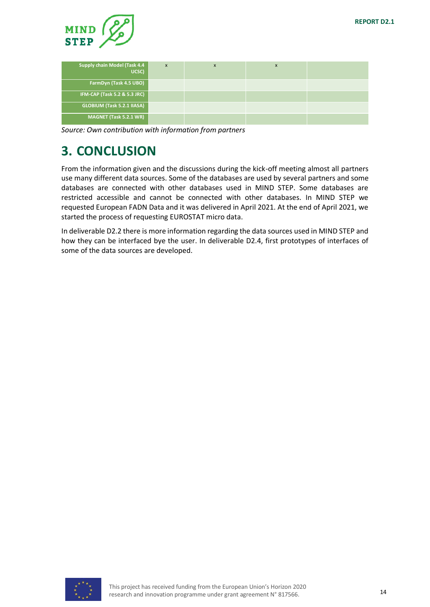

| <b>Supply chain Model (Task 4.4</b><br>UCSC) | $\boldsymbol{\mathsf{x}}$ | $\boldsymbol{\mathsf{x}}$ | X |  |
|----------------------------------------------|---------------------------|---------------------------|---|--|
| FarmDyn (Task 4.5 UBO)                       |                           |                           |   |  |
| <b>IFM-CAP (Task 5.2 &amp; 5.3 JRC)</b>      |                           |                           |   |  |
| <b>GLOBIUM (Task 5.2.1 IIASA)</b>            |                           |                           |   |  |
| MAGNET (Task 5.2.1 WR)                       |                           |                           |   |  |

*Source: Own contribution with information from partners*

# <span id="page-15-0"></span>**3. CONCLUSION**

From the information given and the discussions during the kick-off meeting almost all partners use many different data sources. Some of the databases are used by several partners and some databases are connected with other databases used in MIND STEP. Some databases are restricted accessible and cannot be connected with other databases. In MIND STEP we requested European FADN Data and it was delivered in April 2021. At the end of April 2021, we started the process of requesting EUROSTAT micro data.

In deliverable D2.2 there is more information regarding the data sources used in MIND STEP and how they can be interfaced bye the user. In deliverable D2.4, first prototypes of interfaces of some of the data sources are developed.

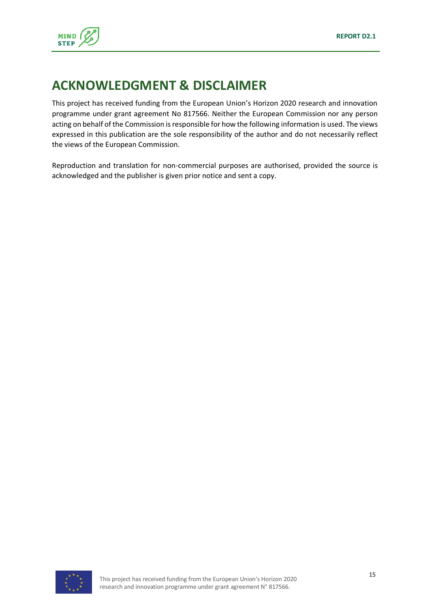

# <span id="page-16-0"></span>**ACKNOWLEDGMENT & DISCLAIMER**

This project has received funding from the European Union's Horizon 2020 research and innovation programme under grant agreement No 817566. Neither the European Commission nor any person acting on behalf of the Commission is responsible for how the following information is used. The views expressed in this publication are the sole responsibility of the author and do not necessarily reflect the views of the European Commission.

Reproduction and translation for non-commercial purposes are authorised, provided the source is acknowledged and the publisher is given prior notice and sent a copy.

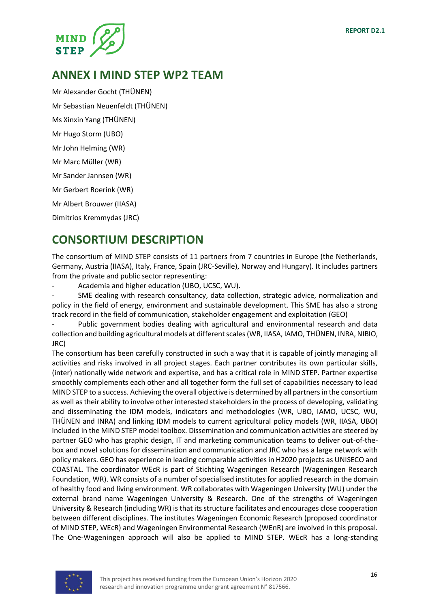

# <span id="page-17-0"></span>**ANNEX I MIND STEP WP2 TEAM**

Mr Alexander Gocht (THÜNEN)

Mr Sebastian Neuenfeldt (THÜNEN)

Ms Xinxin Yang (THÜNEN)

Mr Hugo Storm (UBO)

Mr John Helming (WR)

Mr Marc Müller (WR)

Mr Sander Jannsen (WR)

Mr Gerbert Roerink (WR)

Mr Albert Brouwer (IIASA)

Dimitrios Kremmydas (JRC)

# <span id="page-17-1"></span>**CONSORTIUM DESCRIPTION**

The consortium of MIND STEP consists of 11 partners from 7 countries in Europe (the Netherlands, Germany, Austria (IIASA), Italy, France, Spain (JRC-Seville), Norway and Hungary). It includes partners from the private and public sector representing:

- Academia and higher education (UBO, UCSC, WU).

SME dealing with research consultancy, data collection, strategic advice, normalization and policy in the field of energy, environment and sustainable development. This SME has also a strong track record in the field of communication, stakeholder engagement and exploitation (GEO)

Public government bodies dealing with agricultural and environmental research and data collection and building agricultural models at different scales (WR, IIASA, IAMO, THÜNEN, INRA, NIBIO, JRC)

The consortium has been carefully constructed in such a way that it is capable of jointly managing all activities and risks involved in all project stages. Each partner contributes its own particular skills, (inter) nationally wide network and expertise, and has a critical role in MIND STEP. Partner expertise smoothly complements each other and all together form the full set of capabilities necessary to lead MIND STEP to a success. Achieving the overall objective is determined by all partners in the consortium as well as their ability to involve other interested stakeholders in the process of developing, validating and disseminating the IDM models, indicators and methodologies (WR, UBO, IAMO, UCSC, WU, THÜNEN and INRA) and linking IDM models to current agricultural policy models (WR, IIASA, UBO) included in the MIND STEP model toolbox. Dissemination and communication activities are steered by partner GEO who has graphic design, IT and marketing communication teams to deliver out-of-thebox and novel solutions for dissemination and communication and JRC who has a large network with policy makers. GEO has experience in leading comparable activities in H2020 projects as UNISECO and COASTAL. The coordinator WEcR is part of Stichting Wageningen Research (Wageningen Research Foundation, WR). WR consists of a number of specialised institutes for applied research in the domain of healthy food and living environment. WR collaborates with Wageningen University (WU) under the external brand name Wageningen University & Research. One of the strengths of Wageningen University & Research (including WR) is that its structure facilitates and encourages close cooperation between different disciplines. The institutes Wageningen Economic Research (proposed coordinator of MIND STEP, WEcR) and Wageningen Environmental Research (WEnR) are involved in this proposal. The One-Wageningen approach will also be applied to MIND STEP. WEcR has a long-standing